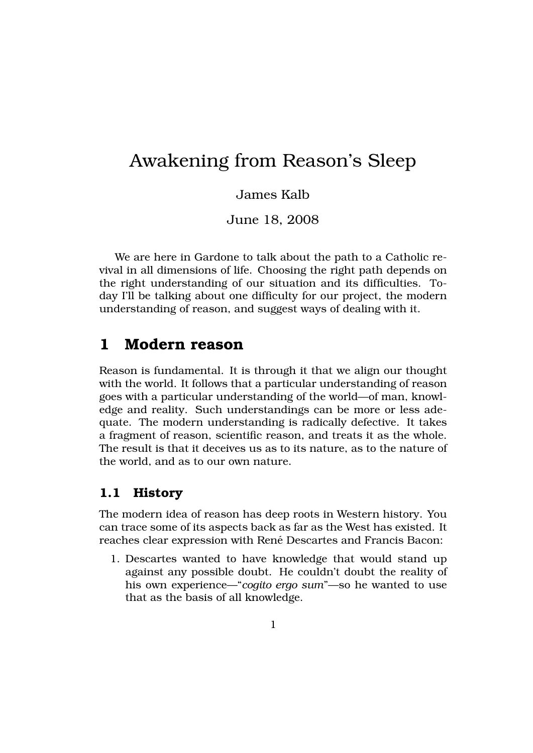# Awakening from Reason's Sleep

#### James Kalb

June 18, 2008

We are here in Gardone to talk about the path to a Catholic revival in all dimensions of life. Choosing the right path depends on the right understanding of our situation and its difficulties. Today I'll be talking about one difficulty for our project, the modern understanding of reason, and suggest ways of dealing with it.

# **1 Modern reason**

Reason is fundamental. It is through it that we align our thought with the world. It follows that a particular understanding of reason goes with a particular understanding of the world—of man, knowledge and reality. Such understandings can be more or less adequate. The modern understanding is radically defective. It takes a fragment of reason, scientific reason, and treats it as the whole. The result is that it deceives us as to its nature, as to the nature of the world, and as to our own nature.

### **1.1 History**

The modern idea of reason has deep roots in Western history. You can trace some of its aspects back as far as the West has existed. It reaches clear expression with René Descartes and Francis Bacon:

1. Descartes wanted to have knowledge that would stand up against any possible doubt. He couldn't doubt the reality of his own experience—"*cogito ergo sum*"—so he wanted to use that as the basis of all knowledge.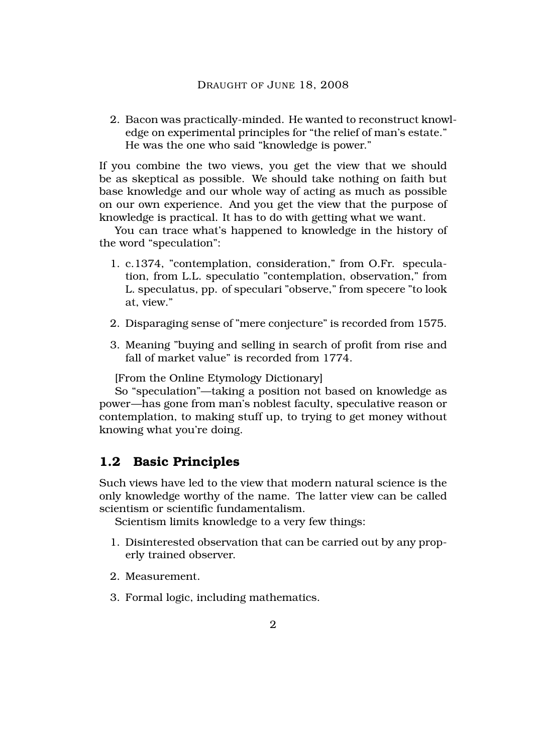2. Bacon was practically-minded. He wanted to reconstruct knowledge on experimental principles for "the relief of man's estate." He was the one who said "knowledge is power."

If you combine the two views, you get the view that we should be as skeptical as possible. We should take nothing on faith but base knowledge and our whole way of acting as much as possible on our own experience. And you get the view that the purpose of knowledge is practical. It has to do with getting what we want.

You can trace what's happened to knowledge in the history of the word "speculation":

- 1. c.1374, "contemplation, consideration," from O.Fr. speculation, from L.L. speculatio "contemplation, observation," from L. speculatus, pp. of speculari "observe," from specere "to look at, view."
- 2. Disparaging sense of "mere conjecture" is recorded from 1575.
- 3. Meaning "buying and selling in search of profit from rise and fall of market value" is recorded from 1774.

[From the Online Etymology Dictionary]

So "speculation"—taking a position not based on knowledge as power—has gone from man's noblest faculty, speculative reason or contemplation, to making stuff up, to trying to get money without knowing what you're doing.

### **1.2 Basic Principles**

Such views have led to the view that modern natural science is the only knowledge worthy of the name. The latter view can be called scientism or scientific fundamentalism.

Scientism limits knowledge to a very few things:

- 1. Disinterested observation that can be carried out by any properly trained observer.
- 2. Measurement.
- 3. Formal logic, including mathematics.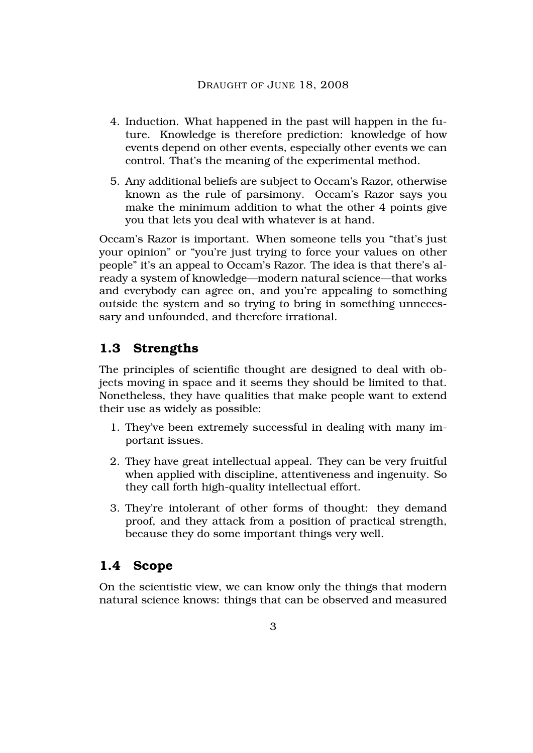- 4. Induction. What happened in the past will happen in the future. Knowledge is therefore prediction: knowledge of how events depend on other events, especially other events we can control. That's the meaning of the experimental method.
- 5. Any additional beliefs are subject to Occam's Razor, otherwise known as the rule of parsimony. Occam's Razor says you make the minimum addition to what the other 4 points give you that lets you deal with whatever is at hand.

Occam's Razor is important. When someone tells you "that's just your opinion" or "you're just trying to force your values on other people" it's an appeal to Occam's Razor. The idea is that there's already a system of knowledge—modern natural science—that works and everybody can agree on, and you're appealing to something outside the system and so trying to bring in something unnecessary and unfounded, and therefore irrational.

# **1.3 Strengths**

The principles of scientific thought are designed to deal with objects moving in space and it seems they should be limited to that. Nonetheless, they have qualities that make people want to extend their use as widely as possible:

- 1. They've been extremely successful in dealing with many important issues.
- 2. They have great intellectual appeal. They can be very fruitful when applied with discipline, attentiveness and ingenuity. So they call forth high-quality intellectual effort.
- 3. They're intolerant of other forms of thought: they demand proof, and they attack from a position of practical strength, because they do some important things very well.

# **1.4 Scope**

On the scientistic view, we can know only the things that modern natural science knows: things that can be observed and measured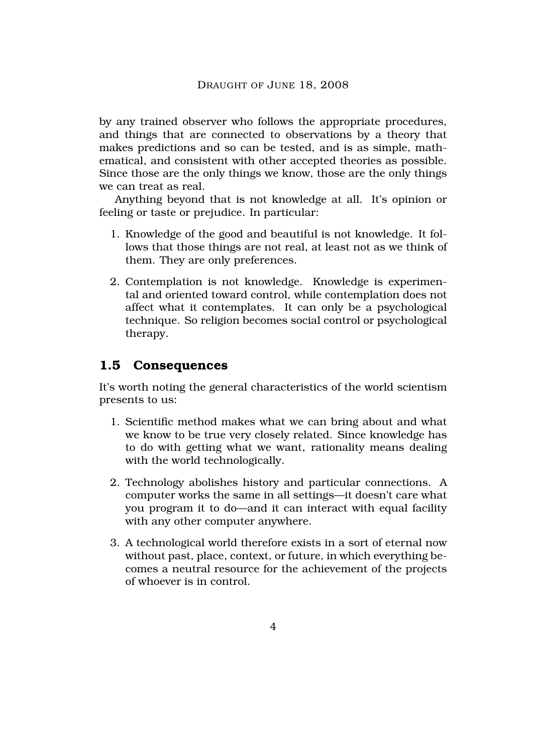by any trained observer who follows the appropriate procedures, and things that are connected to observations by a theory that makes predictions and so can be tested, and is as simple, mathematical, and consistent with other accepted theories as possible. Since those are the only things we know, those are the only things we can treat as real.

Anything beyond that is not knowledge at all. It's opinion or feeling or taste or prejudice. In particular:

- 1. Knowledge of the good and beautiful is not knowledge. It follows that those things are not real, at least not as we think of them. They are only preferences.
- 2. Contemplation is not knowledge. Knowledge is experimental and oriented toward control, while contemplation does not affect what it contemplates. It can only be a psychological technique. So religion becomes social control or psychological therapy.

# **1.5 Consequences**

It's worth noting the general characteristics of the world scientism presents to us:

- 1. Scientific method makes what we can bring about and what we know to be true very closely related. Since knowledge has to do with getting what we want, rationality means dealing with the world technologically.
- 2. Technology abolishes history and particular connections. A computer works the same in all settings—it doesn't care what you program it to do—and it can interact with equal facility with any other computer anywhere.
- 3. A technological world therefore exists in a sort of eternal now without past, place, context, or future, in which everything becomes a neutral resource for the achievement of the projects of whoever is in control.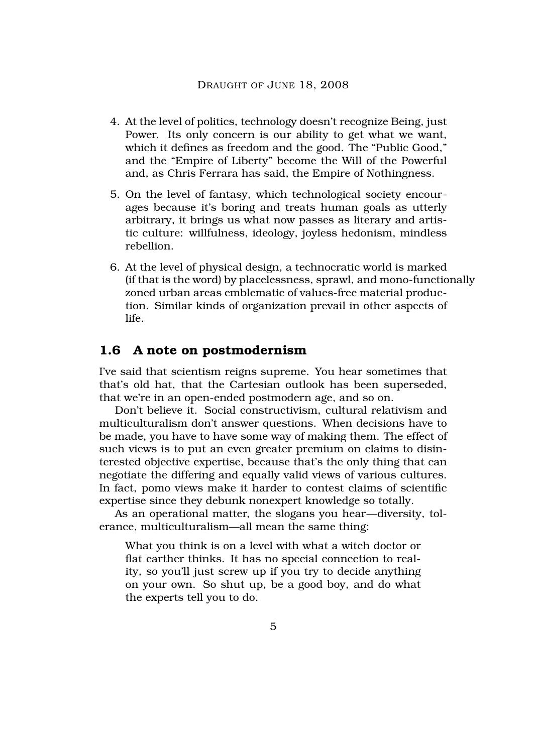- 4. At the level of politics, technology doesn't recognize Being, just Power. Its only concern is our ability to get what we want, which it defines as freedom and the good. The "Public Good," and the "Empire of Liberty" become the Will of the Powerful and, as Chris Ferrara has said, the Empire of Nothingness.
- 5. On the level of fantasy, which technological society encourages because it's boring and treats human goals as utterly arbitrary, it brings us what now passes as literary and artistic culture: willfulness, ideology, joyless hedonism, mindless rebellion.
- 6. At the level of physical design, a technocratic world is marked (if that is the word) by placelessness, sprawl, and mono-functionally zoned urban areas emblematic of values-free material production. Similar kinds of organization prevail in other aspects of life.

### **1.6 A note on postmodernism**

I've said that scientism reigns supreme. You hear sometimes that that's old hat, that the Cartesian outlook has been superseded, that we're in an open-ended postmodern age, and so on.

Don't believe it. Social constructivism, cultural relativism and multiculturalism don't answer questions. When decisions have to be made, you have to have some way of making them. The effect of such views is to put an even greater premium on claims to disinterested objective expertise, because that's the only thing that can negotiate the differing and equally valid views of various cultures. In fact, pomo views make it harder to contest claims of scientific expertise since they debunk nonexpert knowledge so totally.

As an operational matter, the slogans you hear—diversity, tolerance, multiculturalism—all mean the same thing:

What you think is on a level with what a witch doctor or flat earther thinks. It has no special connection to reality, so you'll just screw up if you try to decide anything on your own. So shut up, be a good boy, and do what the experts tell you to do.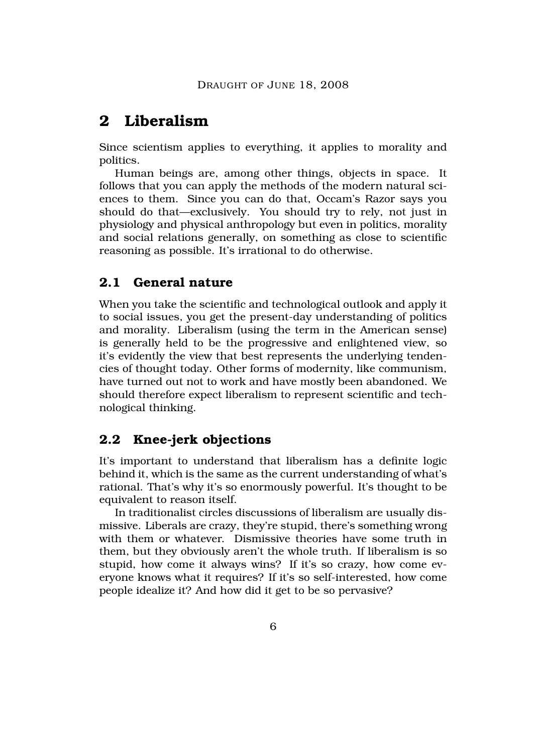# **2 Liberalism**

Since scientism applies to everything, it applies to morality and politics.

Human beings are, among other things, objects in space. It follows that you can apply the methods of the modern natural sciences to them. Since you can do that, Occam's Razor says you should do that—exclusively. You should try to rely, not just in physiology and physical anthropology but even in politics, morality and social relations generally, on something as close to scientific reasoning as possible. It's irrational to do otherwise.

# **2.1 General nature**

When you take the scientific and technological outlook and apply it to social issues, you get the present-day understanding of politics and morality. Liberalism (using the term in the American sense) is generally held to be the progressive and enlightened view, so it's evidently the view that best represents the underlying tendencies of thought today. Other forms of modernity, like communism, have turned out not to work and have mostly been abandoned. We should therefore expect liberalism to represent scientific and technological thinking.

# **2.2 Knee-jerk objections**

It's important to understand that liberalism has a definite logic behind it, which is the same as the current understanding of what's rational. That's why it's so enormously powerful. It's thought to be equivalent to reason itself.

In traditionalist circles discussions of liberalism are usually dismissive. Liberals are crazy, they're stupid, there's something wrong with them or whatever. Dismissive theories have some truth in them, but they obviously aren't the whole truth. If liberalism is so stupid, how come it always wins? If it's so crazy, how come everyone knows what it requires? If it's so self-interested, how come people idealize it? And how did it get to be so pervasive?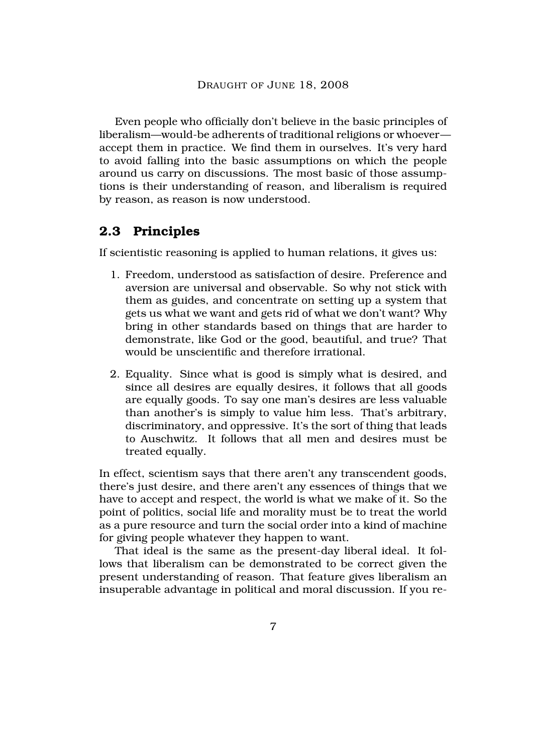Even people who officially don't believe in the basic principles of liberalism—would-be adherents of traditional religions or whoever accept them in practice. We find them in ourselves. It's very hard to avoid falling into the basic assumptions on which the people around us carry on discussions. The most basic of those assumptions is their understanding of reason, and liberalism is required by reason, as reason is now understood.

### **2.3 Principles**

If scientistic reasoning is applied to human relations, it gives us:

- 1. Freedom, understood as satisfaction of desire. Preference and aversion are universal and observable. So why not stick with them as guides, and concentrate on setting up a system that gets us what we want and gets rid of what we don't want? Why bring in other standards based on things that are harder to demonstrate, like God or the good, beautiful, and true? That would be unscientific and therefore irrational.
- 2. Equality. Since what is good is simply what is desired, and since all desires are equally desires, it follows that all goods are equally goods. To say one man's desires are less valuable than another's is simply to value him less. That's arbitrary, discriminatory, and oppressive. It's the sort of thing that leads to Auschwitz. It follows that all men and desires must be treated equally.

In effect, scientism says that there aren't any transcendent goods, there's just desire, and there aren't any essences of things that we have to accept and respect, the world is what we make of it. So the point of politics, social life and morality must be to treat the world as a pure resource and turn the social order into a kind of machine for giving people whatever they happen to want.

That ideal is the same as the present-day liberal ideal. It follows that liberalism can be demonstrated to be correct given the present understanding of reason. That feature gives liberalism an insuperable advantage in political and moral discussion. If you re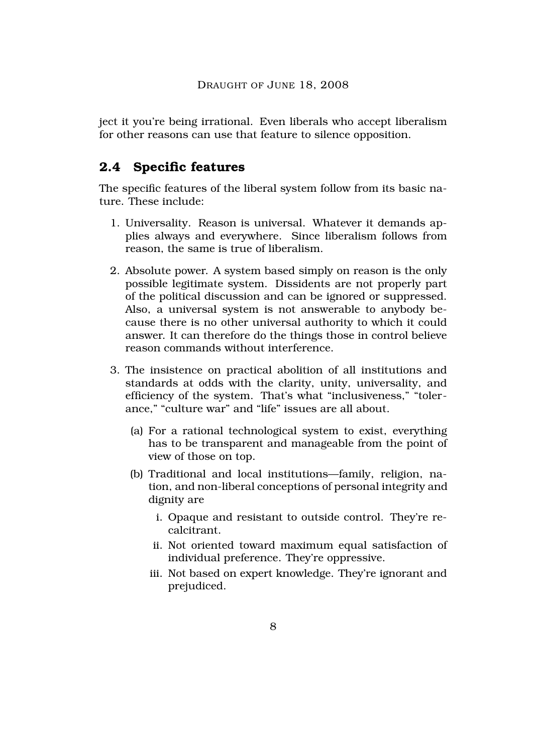ject it you're being irrational. Even liberals who accept liberalism for other reasons can use that feature to silence opposition.

# **2.4 Specific features**

The specific features of the liberal system follow from its basic nature. These include:

- 1. Universality. Reason is universal. Whatever it demands applies always and everywhere. Since liberalism follows from reason, the same is true of liberalism.
- 2. Absolute power. A system based simply on reason is the only possible legitimate system. Dissidents are not properly part of the political discussion and can be ignored or suppressed. Also, a universal system is not answerable to anybody because there is no other universal authority to which it could answer. It can therefore do the things those in control believe reason commands without interference.
- 3. The insistence on practical abolition of all institutions and standards at odds with the clarity, unity, universality, and efficiency of the system. That's what "inclusiveness," "tolerance," "culture war" and "life" issues are all about.
	- (a) For a rational technological system to exist, everything has to be transparent and manageable from the point of view of those on top.
	- (b) Traditional and local institutions—family, religion, nation, and non-liberal conceptions of personal integrity and dignity are
		- i. Opaque and resistant to outside control. They're recalcitrant.
		- ii. Not oriented toward maximum equal satisfaction of individual preference. They're oppressive.
		- iii. Not based on expert knowledge. They're ignorant and prejudiced.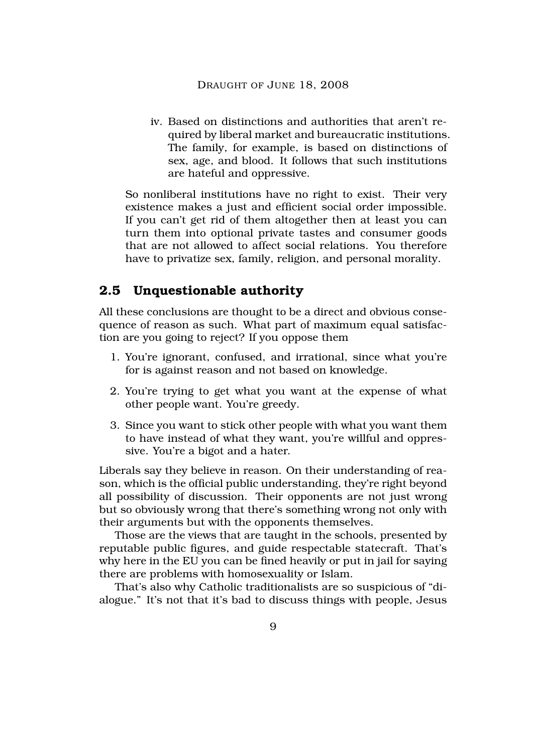iv. Based on distinctions and authorities that aren't required by liberal market and bureaucratic institutions. The family, for example, is based on distinctions of sex, age, and blood. It follows that such institutions are hateful and oppressive.

So nonliberal institutions have no right to exist. Their very existence makes a just and efficient social order impossible. If you can't get rid of them altogether then at least you can turn them into optional private tastes and consumer goods that are not allowed to affect social relations. You therefore have to privatize sex, family, religion, and personal morality.

### **2.5 Unquestionable authority**

All these conclusions are thought to be a direct and obvious consequence of reason as such. What part of maximum equal satisfaction are you going to reject? If you oppose them

- 1. You're ignorant, confused, and irrational, since what you're for is against reason and not based on knowledge.
- 2. You're trying to get what you want at the expense of what other people want. You're greedy.
- 3. Since you want to stick other people with what you want them to have instead of what they want, you're willful and oppressive. You're a bigot and a hater.

Liberals say they believe in reason. On their understanding of reason, which is the official public understanding, they're right beyond all possibility of discussion. Their opponents are not just wrong but so obviously wrong that there's something wrong not only with their arguments but with the opponents themselves.

Those are the views that are taught in the schools, presented by reputable public figures, and guide respectable statecraft. That's why here in the EU you can be fined heavily or put in jail for saying there are problems with homosexuality or Islam.

That's also why Catholic traditionalists are so suspicious of "dialogue." It's not that it's bad to discuss things with people, Jesus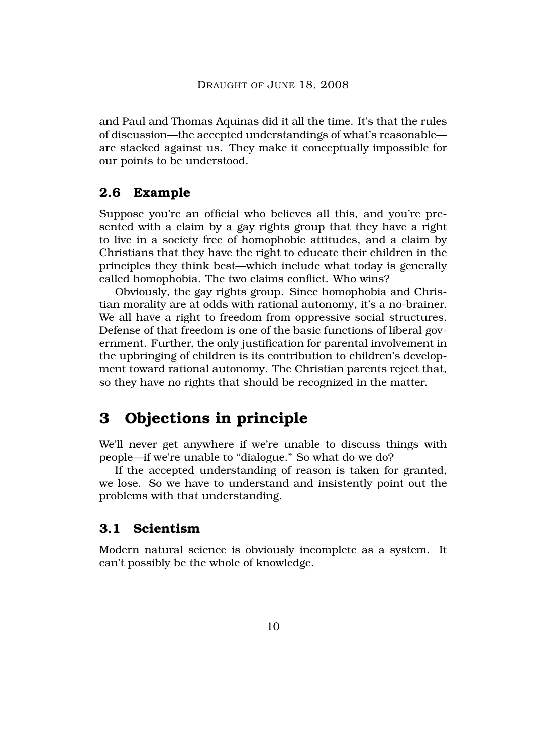and Paul and Thomas Aquinas did it all the time. It's that the rules of discussion—the accepted understandings of what's reasonable are stacked against us. They make it conceptually impossible for our points to be understood.

### **2.6 Example**

Suppose you're an official who believes all this, and you're presented with a claim by a gay rights group that they have a right to live in a society free of homophobic attitudes, and a claim by Christians that they have the right to educate their children in the principles they think best—which include what today is generally called homophobia. The two claims conflict. Who wins?

Obviously, the gay rights group. Since homophobia and Christian morality are at odds with rational autonomy, it's a no-brainer. We all have a right to freedom from oppressive social structures. Defense of that freedom is one of the basic functions of liberal government. Further, the only justification for parental involvement in the upbringing of children is its contribution to children's development toward rational autonomy. The Christian parents reject that, so they have no rights that should be recognized in the matter.

# **3 Objections in principle**

We'll never get anywhere if we're unable to discuss things with people—if we're unable to "dialogue." So what do we do?

If the accepted understanding of reason is taken for granted, we lose. So we have to understand and insistently point out the problems with that understanding.

# **3.1 Scientism**

Modern natural science is obviously incomplete as a system. It can't possibly be the whole of knowledge.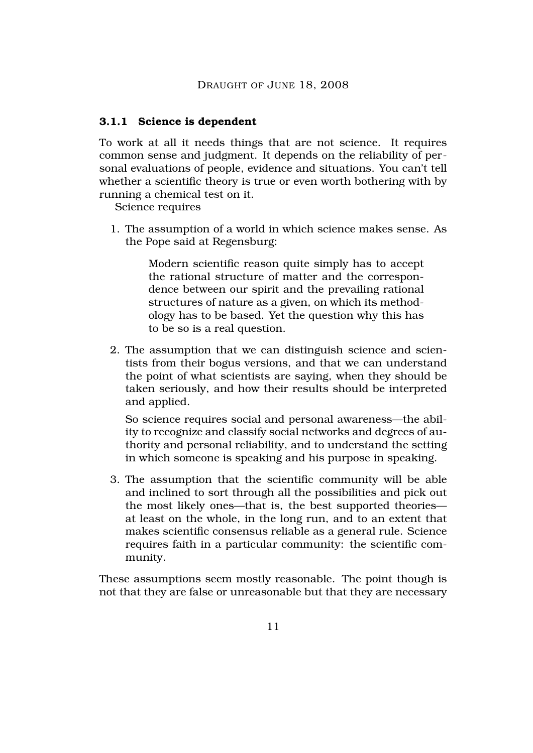#### **3.1.1 Science is dependent**

To work at all it needs things that are not science. It requires common sense and judgment. It depends on the reliability of personal evaluations of people, evidence and situations. You can't tell whether a scientific theory is true or even worth bothering with by running a chemical test on it.

Science requires

1. The assumption of a world in which science makes sense. As the Pope said at Regensburg:

> Modern scientific reason quite simply has to accept the rational structure of matter and the correspondence between our spirit and the prevailing rational structures of nature as a given, on which its methodology has to be based. Yet the question why this has to be so is a real question.

2. The assumption that we can distinguish science and scientists from their bogus versions, and that we can understand the point of what scientists are saying, when they should be taken seriously, and how their results should be interpreted and applied.

So science requires social and personal awareness—the ability to recognize and classify social networks and degrees of authority and personal reliability, and to understand the setting in which someone is speaking and his purpose in speaking.

3. The assumption that the scientific community will be able and inclined to sort through all the possibilities and pick out the most likely ones—that is, the best supported theories at least on the whole, in the long run, and to an extent that makes scientific consensus reliable as a general rule. Science requires faith in a particular community: the scientific community.

These assumptions seem mostly reasonable. The point though is not that they are false or unreasonable but that they are necessary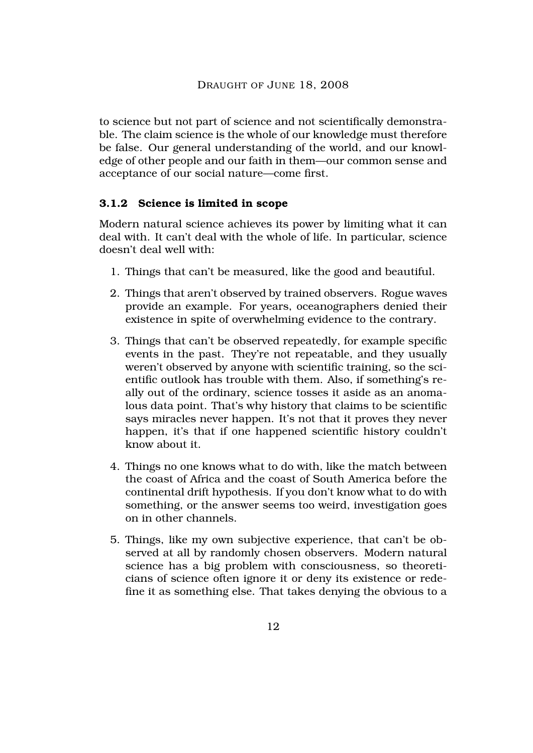to science but not part of science and not scientifically demonstrable. The claim science is the whole of our knowledge must therefore be false. Our general understanding of the world, and our knowledge of other people and our faith in them—our common sense and acceptance of our social nature—come first.

#### **3.1.2 Science is limited in scope**

Modern natural science achieves its power by limiting what it can deal with. It can't deal with the whole of life. In particular, science doesn't deal well with:

- 1. Things that can't be measured, like the good and beautiful.
- 2. Things that aren't observed by trained observers. Rogue waves provide an example. For years, oceanographers denied their existence in spite of overwhelming evidence to the contrary.
- 3. Things that can't be observed repeatedly, for example specific events in the past. They're not repeatable, and they usually weren't observed by anyone with scientific training, so the scientific outlook has trouble with them. Also, if something's really out of the ordinary, science tosses it aside as an anomalous data point. That's why history that claims to be scientific says miracles never happen. It's not that it proves they never happen, it's that if one happened scientific history couldn't know about it.
- 4. Things no one knows what to do with, like the match between the coast of Africa and the coast of South America before the continental drift hypothesis. If you don't know what to do with something, or the answer seems too weird, investigation goes on in other channels.
- 5. Things, like my own subjective experience, that can't be observed at all by randomly chosen observers. Modern natural science has a big problem with consciousness, so theoreticians of science often ignore it or deny its existence or redefine it as something else. That takes denying the obvious to a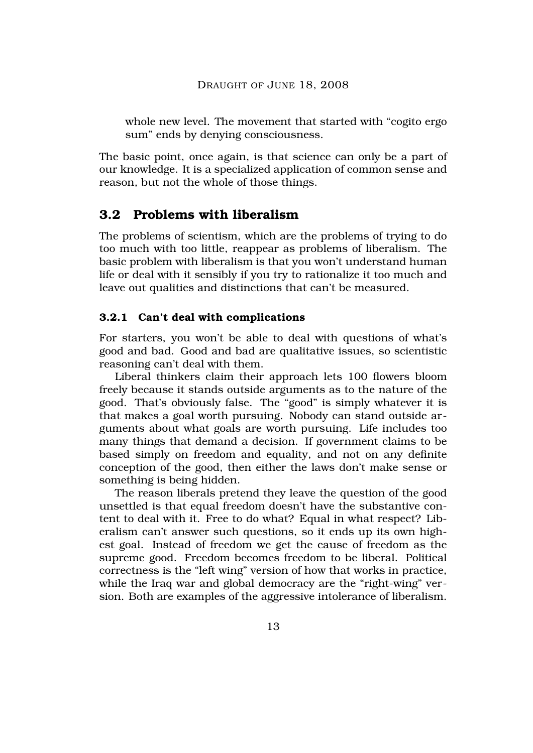whole new level. The movement that started with "cogito ergo sum" ends by denying consciousness.

The basic point, once again, is that science can only be a part of our knowledge. It is a specialized application of common sense and reason, but not the whole of those things.

# **3.2 Problems with liberalism**

The problems of scientism, which are the problems of trying to do too much with too little, reappear as problems of liberalism. The basic problem with liberalism is that you won't understand human life or deal with it sensibly if you try to rationalize it too much and leave out qualities and distinctions that can't be measured.

#### **3.2.1 Can't deal with complications**

For starters, you won't be able to deal with questions of what's good and bad. Good and bad are qualitative issues, so scientistic reasoning can't deal with them.

Liberal thinkers claim their approach lets 100 flowers bloom freely because it stands outside arguments as to the nature of the good. That's obviously false. The "good" is simply whatever it is that makes a goal worth pursuing. Nobody can stand outside arguments about what goals are worth pursuing. Life includes too many things that demand a decision. If government claims to be based simply on freedom and equality, and not on any definite conception of the good, then either the laws don't make sense or something is being hidden.

The reason liberals pretend they leave the question of the good unsettled is that equal freedom doesn't have the substantive content to deal with it. Free to do what? Equal in what respect? Liberalism can't answer such questions, so it ends up its own highest goal. Instead of freedom we get the cause of freedom as the supreme good. Freedom becomes freedom to be liberal. Political correctness is the "left wing" version of how that works in practice, while the Iraq war and global democracy are the "right-wing" version. Both are examples of the aggressive intolerance of liberalism.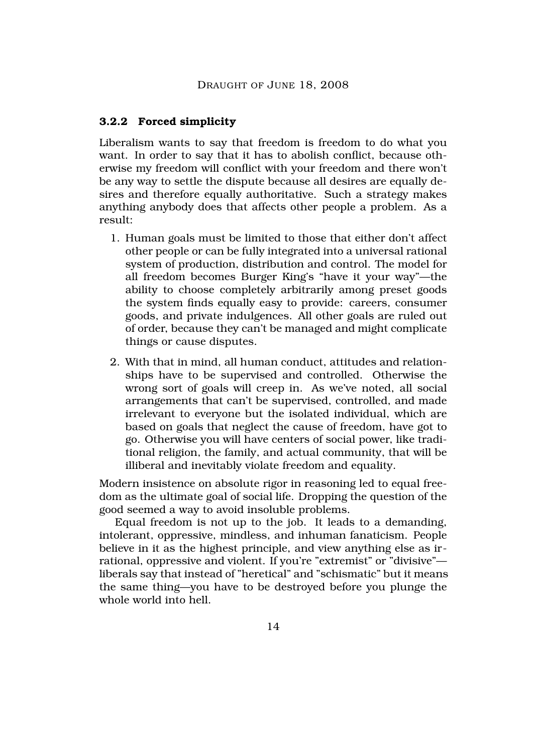#### **3.2.2 Forced simplicity**

Liberalism wants to say that freedom is freedom to do what you want. In order to say that it has to abolish conflict, because otherwise my freedom will conflict with your freedom and there won't be any way to settle the dispute because all desires are equally desires and therefore equally authoritative. Such a strategy makes anything anybody does that affects other people a problem. As a result:

- 1. Human goals must be limited to those that either don't affect other people or can be fully integrated into a universal rational system of production, distribution and control. The model for all freedom becomes Burger King's "have it your way"—the ability to choose completely arbitrarily among preset goods the system finds equally easy to provide: careers, consumer goods, and private indulgences. All other goals are ruled out of order, because they can't be managed and might complicate things or cause disputes.
- 2. With that in mind, all human conduct, attitudes and relationships have to be supervised and controlled. Otherwise the wrong sort of goals will creep in. As we've noted, all social arrangements that can't be supervised, controlled, and made irrelevant to everyone but the isolated individual, which are based on goals that neglect the cause of freedom, have got to go. Otherwise you will have centers of social power, like traditional religion, the family, and actual community, that will be illiberal and inevitably violate freedom and equality.

Modern insistence on absolute rigor in reasoning led to equal freedom as the ultimate goal of social life. Dropping the question of the good seemed a way to avoid insoluble problems.

Equal freedom is not up to the job. It leads to a demanding, intolerant, oppressive, mindless, and inhuman fanaticism. People believe in it as the highest principle, and view anything else as irrational, oppressive and violent. If you're "extremist" or "divisive" liberals say that instead of "heretical" and "schismatic" but it means the same thing—you have to be destroyed before you plunge the whole world into hell.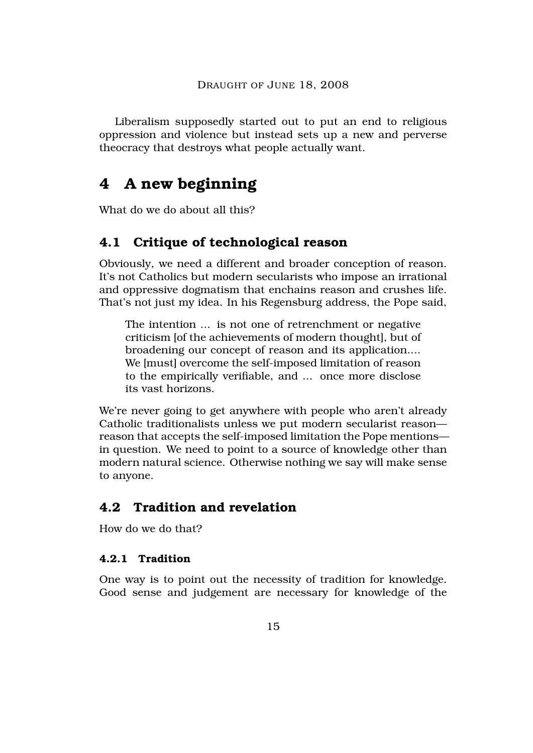Liberalism supposedly started out to put an end to religious oppression and violence but instead sets up a new and perverse theocracy that destroys what people actually want.

# **4 A new beginning**

What do we do about all this?

# **4.1 Critique of technological reason**

Obviously, we need a different and broader conception of reason. It's not Catholics but modern secularists who impose an irrational and oppressive dogmatism that enchains reason and crushes life. That's not just my idea. In his Regensburg address, the Pope said,

The intention ... is not one of retrenchment or negative criticism [of the achievements of modern thought], but of broadening our concept of reason and its application.... We [must] overcome the self-imposed limitation of reason to the empirically verifiable, and ... once more disclose its vast horizons.

We're never going to get anywhere with people who aren't already Catholic traditionalists unless we put modern secularist reason reason that accepts the self-imposed limitation the Pope mentions in question. We need to point to a source of knowledge other than modern natural science. Otherwise nothing we say will make sense to anyone.

# **4.2 Tradition and revelation**

How do we do that?

#### **4.2.1 Tradition**

One way is to point out the necessity of tradition for knowledge. Good sense and judgement are necessary for knowledge of the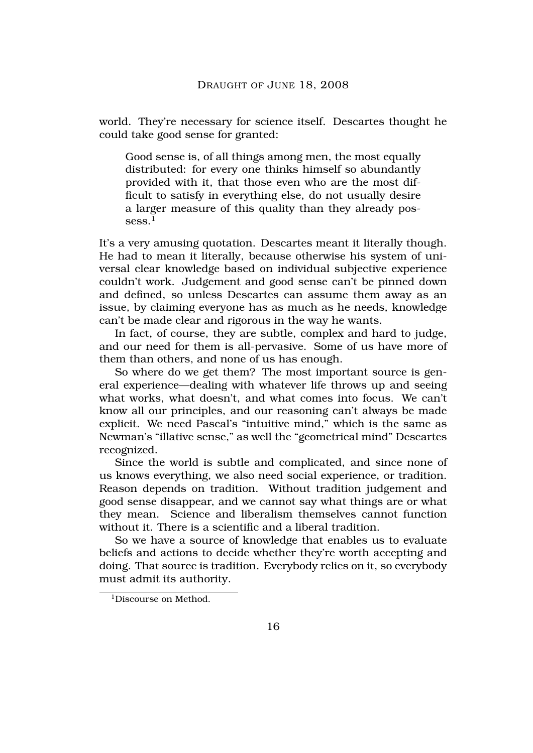world. They're necessary for science itself. Descartes thought he could take good sense for granted:

Good sense is, of all things among men, the most equally distributed: for every one thinks himself so abundantly provided with it, that those even who are the most difficult to satisfy in everything else, do not usually desire a larger measure of this quality than they already pos $sess.<sup>1</sup>$ 

It's a very amusing quotation. Descartes meant it literally though. He had to mean it literally, because otherwise his system of universal clear knowledge based on individual subjective experience couldn't work. Judgement and good sense can't be pinned down and defined, so unless Descartes can assume them away as an issue, by claiming everyone has as much as he needs, knowledge can't be made clear and rigorous in the way he wants.

In fact, of course, they are subtle, complex and hard to judge, and our need for them is all-pervasive. Some of us have more of them than others, and none of us has enough.

So where do we get them? The most important source is general experience—dealing with whatever life throws up and seeing what works, what doesn't, and what comes into focus. We can't know all our principles, and our reasoning can't always be made explicit. We need Pascal's "intuitive mind," which is the same as Newman's "illative sense," as well the "geometrical mind" Descartes recognized.

Since the world is subtle and complicated, and since none of us knows everything, we also need social experience, or tradition. Reason depends on tradition. Without tradition judgement and good sense disappear, and we cannot say what things are or what they mean. Science and liberalism themselves cannot function without it. There is a scientific and a liberal tradition.

So we have a source of knowledge that enables us to evaluate beliefs and actions to decide whether they're worth accepting and doing. That source is tradition. Everybody relies on it, so everybody must admit its authority.

<sup>&</sup>lt;sup>1</sup>Discourse on Method.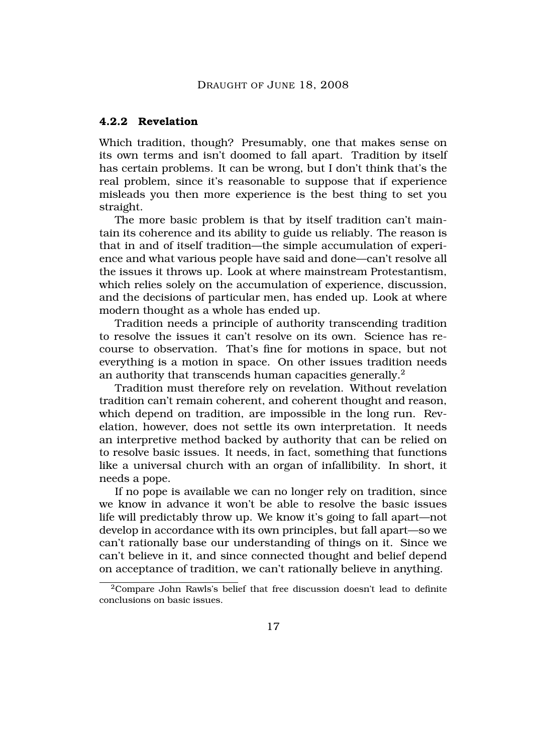#### **4.2.2 Revelation**

Which tradition, though? Presumably, one that makes sense on its own terms and isn't doomed to fall apart. Tradition by itself has certain problems. It can be wrong, but I don't think that's the real problem, since it's reasonable to suppose that if experience misleads you then more experience is the best thing to set you straight.

The more basic problem is that by itself tradition can't maintain its coherence and its ability to guide us reliably. The reason is that in and of itself tradition—the simple accumulation of experience and what various people have said and done—can't resolve all the issues it throws up. Look at where mainstream Protestantism, which relies solely on the accumulation of experience, discussion, and the decisions of particular men, has ended up. Look at where modern thought as a whole has ended up.

Tradition needs a principle of authority transcending tradition to resolve the issues it can't resolve on its own. Science has recourse to observation. That's fine for motions in space, but not everything is a motion in space. On other issues tradition needs an authority that transcends human capacities generally.<sup>2</sup>

Tradition must therefore rely on revelation. Without revelation tradition can't remain coherent, and coherent thought and reason, which depend on tradition, are impossible in the long run. Revelation, however, does not settle its own interpretation. It needs an interpretive method backed by authority that can be relied on to resolve basic issues. It needs, in fact, something that functions like a universal church with an organ of infallibility. In short, it needs a pope.

If no pope is available we can no longer rely on tradition, since we know in advance it won't be able to resolve the basic issues life will predictably throw up. We know it's going to fall apart—not develop in accordance with its own principles, but fall apart—so we can't rationally base our understanding of things on it. Since we can't believe in it, and since connected thought and belief depend on acceptance of tradition, we can't rationally believe in anything.

 $2$ Compare John Rawls's belief that free discussion doesn't lead to definite conclusions on basic issues.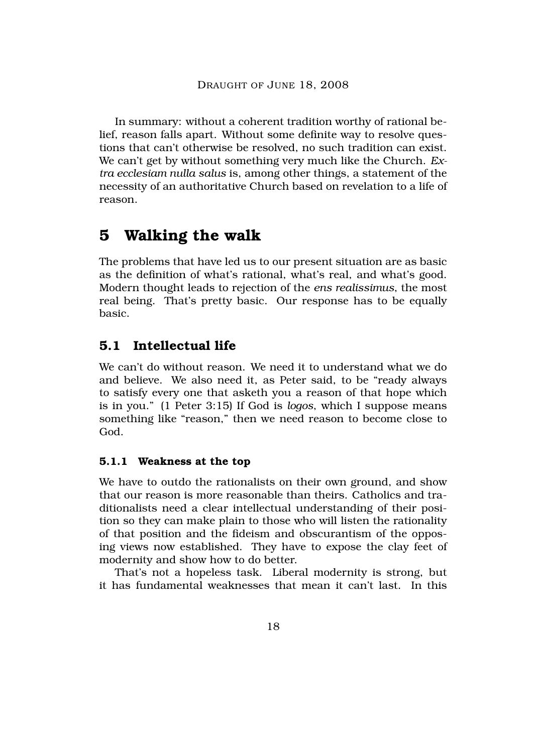In summary: without a coherent tradition worthy of rational belief, reason falls apart. Without some definite way to resolve questions that can't otherwise be resolved, no such tradition can exist. We can't get by without something very much like the Church. *Extra ecclesiam nulla salus* is, among other things, a statement of the necessity of an authoritative Church based on revelation to a life of reason.

# **5 Walking the walk**

The problems that have led us to our present situation are as basic as the definition of what's rational, what's real, and what's good. Modern thought leads to rejection of the *ens realissimus*, the most real being. That's pretty basic. Our response has to be equally basic.

# **5.1 Intellectual life**

We can't do without reason. We need it to understand what we do and believe. We also need it, as Peter said, to be "ready always to satisfy every one that asketh you a reason of that hope which is in you." (1 Peter 3:15) If God is *logos*, which I suppose means something like "reason," then we need reason to become close to God.

### **5.1.1 Weakness at the top**

We have to outdo the rationalists on their own ground, and show that our reason is more reasonable than theirs. Catholics and traditionalists need a clear intellectual understanding of their position so they can make plain to those who will listen the rationality of that position and the fideism and obscurantism of the opposing views now established. They have to expose the clay feet of modernity and show how to do better.

That's not a hopeless task. Liberal modernity is strong, but it has fundamental weaknesses that mean it can't last. In this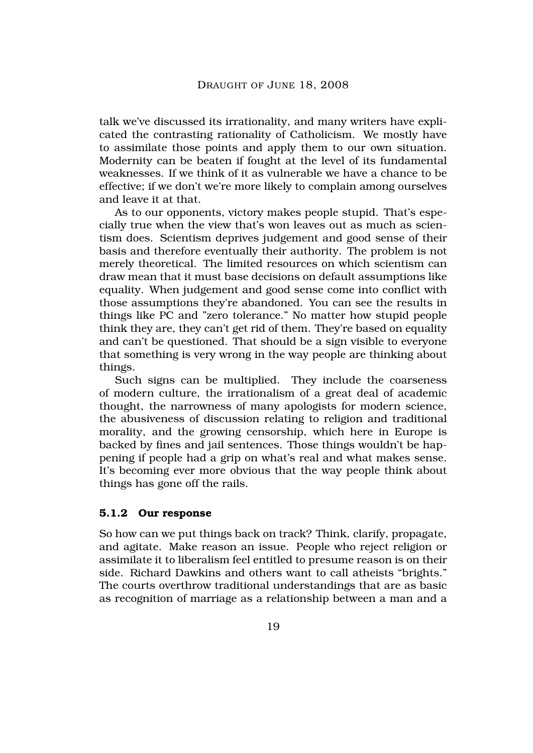talk we've discussed its irrationality, and many writers have explicated the contrasting rationality of Catholicism. We mostly have to assimilate those points and apply them to our own situation. Modernity can be beaten if fought at the level of its fundamental weaknesses. If we think of it as vulnerable we have a chance to be effective; if we don't we're more likely to complain among ourselves and leave it at that.

As to our opponents, victory makes people stupid. That's especially true when the view that's won leaves out as much as scientism does. Scientism deprives judgement and good sense of their basis and therefore eventually their authority. The problem is not merely theoretical. The limited resources on which scientism can draw mean that it must base decisions on default assumptions like equality. When judgement and good sense come into conflict with those assumptions they're abandoned. You can see the results in things like PC and "zero tolerance." No matter how stupid people think they are, they can't get rid of them. They're based on equality and can't be questioned. That should be a sign visible to everyone that something is very wrong in the way people are thinking about things.

Such signs can be multiplied. They include the coarseness of modern culture, the irrationalism of a great deal of academic thought, the narrowness of many apologists for modern science, the abusiveness of discussion relating to religion and traditional morality, and the growing censorship, which here in Europe is backed by fines and jail sentences. Those things wouldn't be happening if people had a grip on what's real and what makes sense. It's becoming ever more obvious that the way people think about things has gone off the rails.

#### **5.1.2 Our response**

So how can we put things back on track? Think, clarify, propagate, and agitate. Make reason an issue. People who reject religion or assimilate it to liberalism feel entitled to presume reason is on their side. Richard Dawkins and others want to call atheists "brights." The courts overthrow traditional understandings that are as basic as recognition of marriage as a relationship between a man and a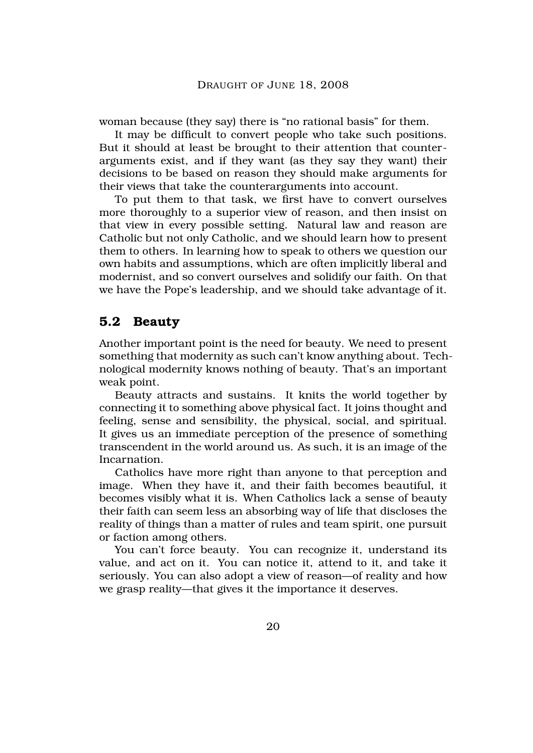woman because (they say) there is "no rational basis" for them.

It may be difficult to convert people who take such positions. But it should at least be brought to their attention that counterarguments exist, and if they want (as they say they want) their decisions to be based on reason they should make arguments for their views that take the counterarguments into account.

To put them to that task, we first have to convert ourselves more thoroughly to a superior view of reason, and then insist on that view in every possible setting. Natural law and reason are Catholic but not only Catholic, and we should learn how to present them to others. In learning how to speak to others we question our own habits and assumptions, which are often implicitly liberal and modernist, and so convert ourselves and solidify our faith. On that we have the Pope's leadership, and we should take advantage of it.

### **5.2 Beauty**

Another important point is the need for beauty. We need to present something that modernity as such can't know anything about. Technological modernity knows nothing of beauty. That's an important weak point.

Beauty attracts and sustains. It knits the world together by connecting it to something above physical fact. It joins thought and feeling, sense and sensibility, the physical, social, and spiritual. It gives us an immediate perception of the presence of something transcendent in the world around us. As such, it is an image of the Incarnation.

Catholics have more right than anyone to that perception and image. When they have it, and their faith becomes beautiful, it becomes visibly what it is. When Catholics lack a sense of beauty their faith can seem less an absorbing way of life that discloses the reality of things than a matter of rules and team spirit, one pursuit or faction among others.

You can't force beauty. You can recognize it, understand its value, and act on it. You can notice it, attend to it, and take it seriously. You can also adopt a view of reason—of reality and how we grasp reality—that gives it the importance it deserves.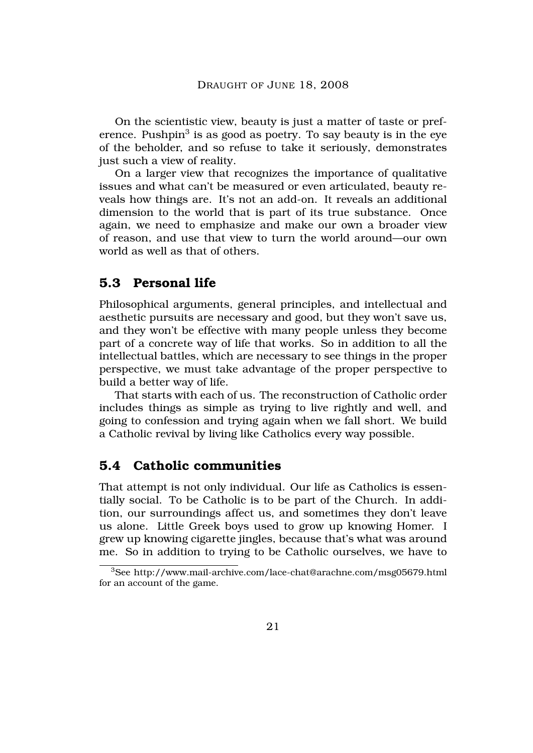On the scientistic view, beauty is just a matter of taste or preference. Pushpin $^3$  is as good as poetry. To say beauty is in the eye of the beholder, and so refuse to take it seriously, demonstrates just such a view of reality.

On a larger view that recognizes the importance of qualitative issues and what can't be measured or even articulated, beauty reveals how things are. It's not an add-on. It reveals an additional dimension to the world that is part of its true substance. Once again, we need to emphasize and make our own a broader view of reason, and use that view to turn the world around—our own world as well as that of others.

## **5.3 Personal life**

Philosophical arguments, general principles, and intellectual and aesthetic pursuits are necessary and good, but they won't save us, and they won't be effective with many people unless they become part of a concrete way of life that works. So in addition to all the intellectual battles, which are necessary to see things in the proper perspective, we must take advantage of the proper perspective to build a better way of life.

That starts with each of us. The reconstruction of Catholic order includes things as simple as trying to live rightly and well, and going to confession and trying again when we fall short. We build a Catholic revival by living like Catholics every way possible.

## **5.4 Catholic communities**

That attempt is not only individual. Our life as Catholics is essentially social. To be Catholic is to be part of the Church. In addition, our surroundings affect us, and sometimes they don't leave us alone. Little Greek boys used to grow up knowing Homer. I grew up knowing cigarette jingles, because that's what was around me. So in addition to trying to be Catholic ourselves, we have to

<sup>3</sup>See http://www.mail-archive.com/lace-chat@arachne.com/msg05679.html for an account of the game.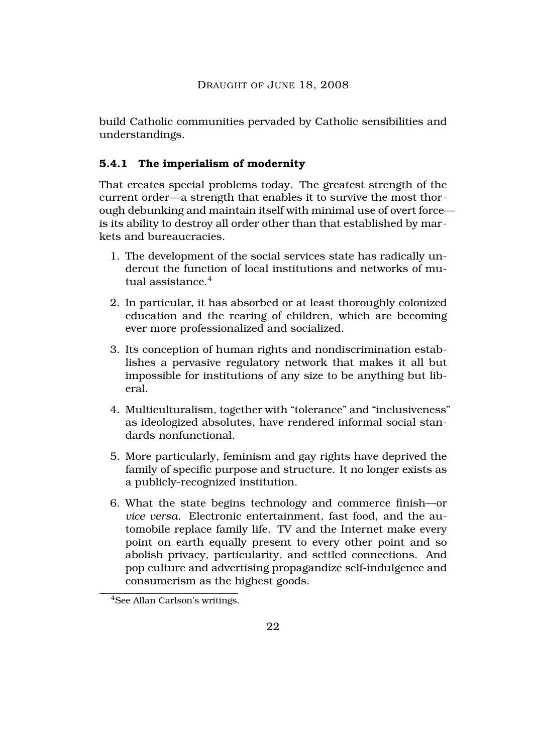build Catholic communities pervaded by Catholic sensibilities and understandings.

# **5.4.1 The imperialism of modernity**

That creates special problems today. The greatest strength of the current order—a strength that enables it to survive the most thorough debunking and maintain itself with minimal use of overt force is its ability to destroy all order other than that established by markets and bureaucracies.

- 1. The development of the social services state has radically undercut the function of local institutions and networks of mutual assistance  $4$
- 2. In particular, it has absorbed or at least thoroughly colonized education and the rearing of children, which are becoming ever more professionalized and socialized.
- 3. Its conception of human rights and nondiscrimination establishes a pervasive regulatory network that makes it all but impossible for institutions of any size to be anything but liberal.
- 4. Multiculturalism, together with "tolerance" and "inclusiveness" as ideologized absolutes, have rendered informal social standards nonfunctional.
- 5. More particularly, feminism and gay rights have deprived the family of specific purpose and structure. It no longer exists as a publicly-recognized institution.
- 6. What the state begins technology and commerce finish—or *vice versa.* Electronic entertainment, fast food, and the automobile replace family life. TV and the Internet make every point on earth equally present to every other point and so abolish privacy, particularity, and settled connections. And pop culture and advertising propagandize self-indulgence and consumerism as the highest goods.

<sup>4</sup>See Allan Carlson's writings.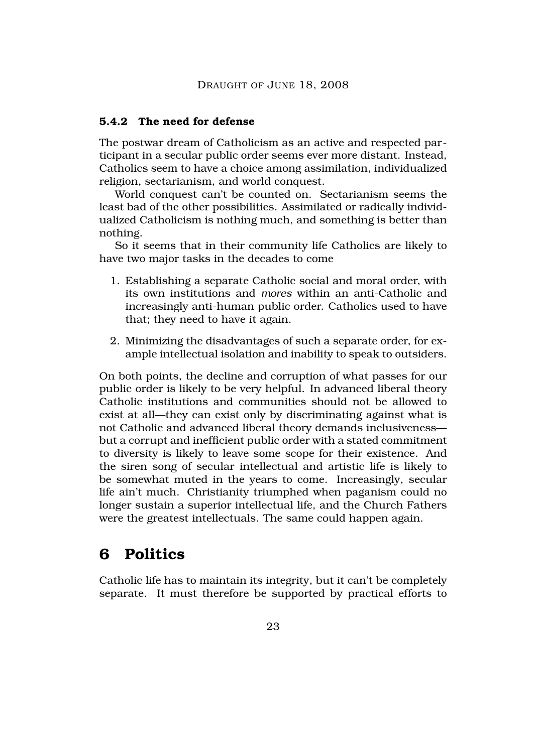#### **5.4.2 The need for defense**

The postwar dream of Catholicism as an active and respected participant in a secular public order seems ever more distant. Instead, Catholics seem to have a choice among assimilation, individualized religion, sectarianism, and world conquest.

World conquest can't be counted on. Sectarianism seems the least bad of the other possibilities. Assimilated or radically individualized Catholicism is nothing much, and something is better than nothing.

So it seems that in their community life Catholics are likely to have two major tasks in the decades to come

- 1. Establishing a separate Catholic social and moral order, with its own institutions and *mores* within an anti-Catholic and increasingly anti-human public order. Catholics used to have that; they need to have it again.
- 2. Minimizing the disadvantages of such a separate order, for example intellectual isolation and inability to speak to outsiders.

On both points, the decline and corruption of what passes for our public order is likely to be very helpful. In advanced liberal theory Catholic institutions and communities should not be allowed to exist at all—they can exist only by discriminating against what is not Catholic and advanced liberal theory demands inclusiveness but a corrupt and inefficient public order with a stated commitment to diversity is likely to leave some scope for their existence. And the siren song of secular intellectual and artistic life is likely to be somewhat muted in the years to come. Increasingly, secular life ain't much. Christianity triumphed when paganism could no longer sustain a superior intellectual life, and the Church Fathers were the greatest intellectuals. The same could happen again.

# **6 Politics**

Catholic life has to maintain its integrity, but it can't be completely separate. It must therefore be supported by practical efforts to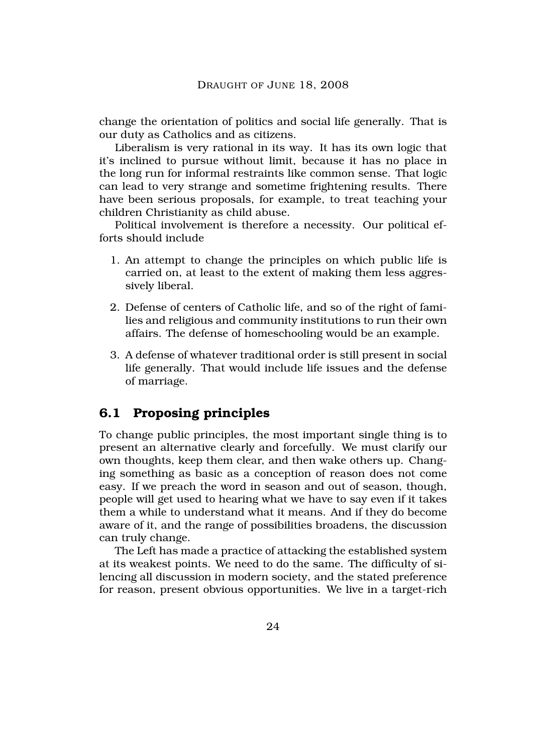change the orientation of politics and social life generally. That is our duty as Catholics and as citizens.

Liberalism is very rational in its way. It has its own logic that it's inclined to pursue without limit, because it has no place in the long run for informal restraints like common sense. That logic can lead to very strange and sometime frightening results. There have been serious proposals, for example, to treat teaching your children Christianity as child abuse.

Political involvement is therefore a necessity. Our political efforts should include

- 1. An attempt to change the principles on which public life is carried on, at least to the extent of making them less aggressively liberal.
- 2. Defense of centers of Catholic life, and so of the right of families and religious and community institutions to run their own affairs. The defense of homeschooling would be an example.
- 3. A defense of whatever traditional order is still present in social life generally. That would include life issues and the defense of marriage.

### **6.1 Proposing principles**

To change public principles, the most important single thing is to present an alternative clearly and forcefully. We must clarify our own thoughts, keep them clear, and then wake others up. Changing something as basic as a conception of reason does not come easy. If we preach the word in season and out of season, though, people will get used to hearing what we have to say even if it takes them a while to understand what it means. And if they do become aware of it, and the range of possibilities broadens, the discussion can truly change.

The Left has made a practice of attacking the established system at its weakest points. We need to do the same. The difficulty of silencing all discussion in modern society, and the stated preference for reason, present obvious opportunities. We live in a target-rich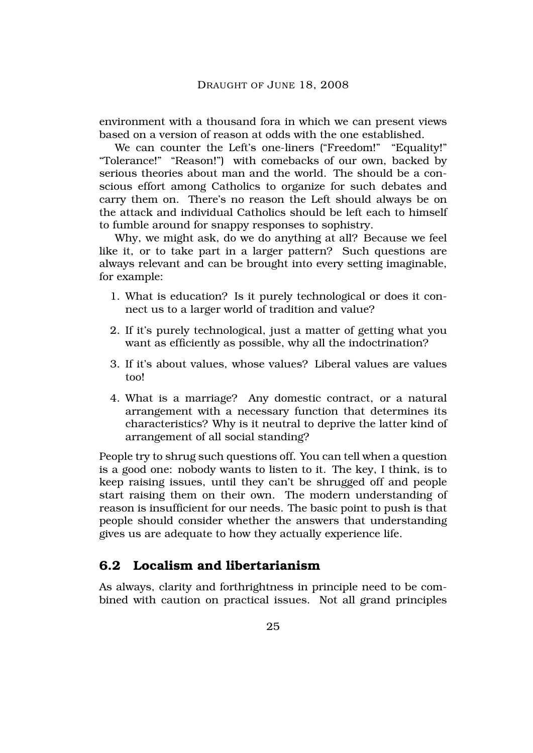environment with a thousand fora in which we can present views based on a version of reason at odds with the one established.

We can counter the Left's one-liners ("Freedom!" "Equality!" "Tolerance!" "Reason!") with comebacks of our own, backed by serious theories about man and the world. The should be a conscious effort among Catholics to organize for such debates and carry them on. There's no reason the Left should always be on the attack and individual Catholics should be left each to himself to fumble around for snappy responses to sophistry.

Why, we might ask, do we do anything at all? Because we feel like it, or to take part in a larger pattern? Such questions are always relevant and can be brought into every setting imaginable, for example:

- 1. What is education? Is it purely technological or does it connect us to a larger world of tradition and value?
- 2. If it's purely technological, just a matter of getting what you want as efficiently as possible, why all the indoctrination?
- 3. If it's about values, whose values? Liberal values are values too!
- 4. What is a marriage? Any domestic contract, or a natural arrangement with a necessary function that determines its characteristics? Why is it neutral to deprive the latter kind of arrangement of all social standing?

People try to shrug such questions off. You can tell when a question is a good one: nobody wants to listen to it. The key, I think, is to keep raising issues, until they can't be shrugged off and people start raising them on their own. The modern understanding of reason is insufficient for our needs. The basic point to push is that people should consider whether the answers that understanding gives us are adequate to how they actually experience life.

# **6.2 Localism and libertarianism**

As always, clarity and forthrightness in principle need to be combined with caution on practical issues. Not all grand principles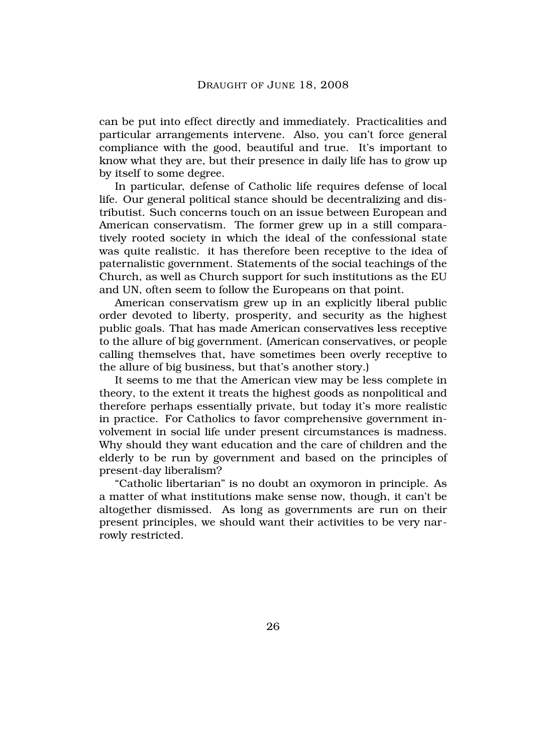can be put into effect directly and immediately. Practicalities and particular arrangements intervene. Also, you can't force general compliance with the good, beautiful and true. It's important to know what they are, but their presence in daily life has to grow up by itself to some degree.

In particular, defense of Catholic life requires defense of local life. Our general political stance should be decentralizing and distributist. Such concerns touch on an issue between European and American conservatism. The former grew up in a still comparatively rooted society in which the ideal of the confessional state was quite realistic. it has therefore been receptive to the idea of paternalistic government. Statements of the social teachings of the Church, as well as Church support for such institutions as the EU and UN, often seem to follow the Europeans on that point.

American conservatism grew up in an explicitly liberal public order devoted to liberty, prosperity, and security as the highest public goals. That has made American conservatives less receptive to the allure of big government. (American conservatives, or people calling themselves that, have sometimes been overly receptive to the allure of big business, but that's another story.)

It seems to me that the American view may be less complete in theory, to the extent it treats the highest goods as nonpolitical and therefore perhaps essentially private, but today it's more realistic in practice. For Catholics to favor comprehensive government involvement in social life under present circumstances is madness. Why should they want education and the care of children and the elderly to be run by government and based on the principles of present-day liberalism?

"Catholic libertarian" is no doubt an oxymoron in principle. As a matter of what institutions make sense now, though, it can't be altogether dismissed. As long as governments are run on their present principles, we should want their activities to be very narrowly restricted.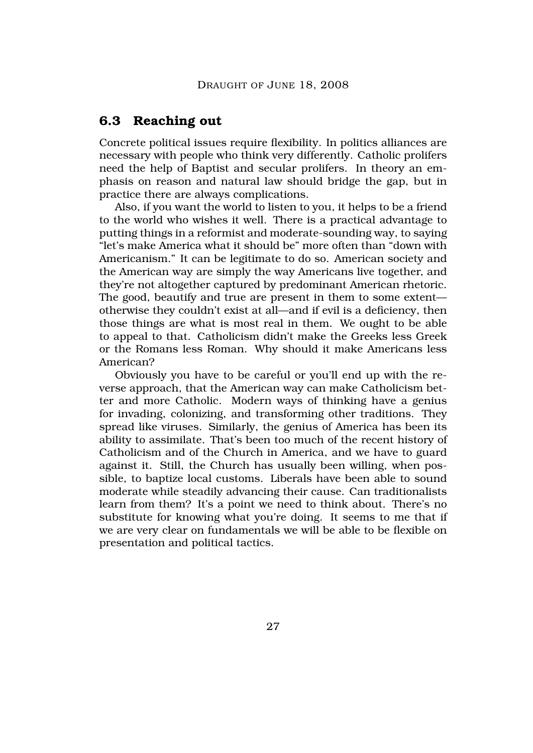#### **6.3 Reaching out**

Concrete political issues require flexibility. In politics alliances are necessary with people who think very differently. Catholic prolifers need the help of Baptist and secular prolifers. In theory an emphasis on reason and natural law should bridge the gap, but in practice there are always complications.

Also, if you want the world to listen to you, it helps to be a friend to the world who wishes it well. There is a practical advantage to putting things in a reformist and moderate-sounding way, to saying "let's make America what it should be" more often than "down with Americanism." It can be legitimate to do so. American society and the American way are simply the way Americans live together, and they're not altogether captured by predominant American rhetoric. The good, beautify and true are present in them to some extent otherwise they couldn't exist at all—and if evil is a deficiency, then those things are what is most real in them. We ought to be able to appeal to that. Catholicism didn't make the Greeks less Greek or the Romans less Roman. Why should it make Americans less American?

Obviously you have to be careful or you'll end up with the reverse approach, that the American way can make Catholicism better and more Catholic. Modern ways of thinking have a genius for invading, colonizing, and transforming other traditions. They spread like viruses. Similarly, the genius of America has been its ability to assimilate. That's been too much of the recent history of Catholicism and of the Church in America, and we have to guard against it. Still, the Church has usually been willing, when possible, to baptize local customs. Liberals have been able to sound moderate while steadily advancing their cause. Can traditionalists learn from them? It's a point we need to think about. There's no substitute for knowing what you're doing. It seems to me that if we are very clear on fundamentals we will be able to be flexible on presentation and political tactics.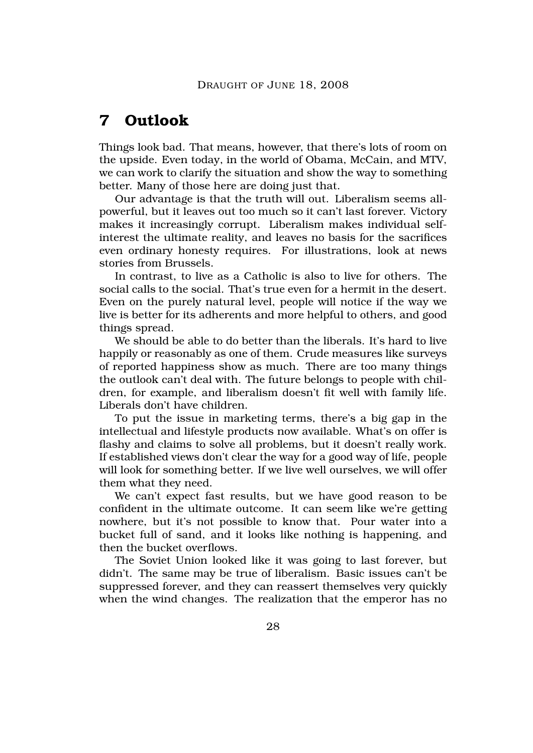# **7 Outlook**

Things look bad. That means, however, that there's lots of room on the upside. Even today, in the world of Obama, McCain, and MTV, we can work to clarify the situation and show the way to something better. Many of those here are doing just that.

Our advantage is that the truth will out. Liberalism seems allpowerful, but it leaves out too much so it can't last forever. Victory makes it increasingly corrupt. Liberalism makes individual selfinterest the ultimate reality, and leaves no basis for the sacrifices even ordinary honesty requires. For illustrations, look at news stories from Brussels.

In contrast, to live as a Catholic is also to live for others. The social calls to the social. That's true even for a hermit in the desert. Even on the purely natural level, people will notice if the way we live is better for its adherents and more helpful to others, and good things spread.

We should be able to do better than the liberals. It's hard to live happily or reasonably as one of them. Crude measures like surveys of reported happiness show as much. There are too many things the outlook can't deal with. The future belongs to people with children, for example, and liberalism doesn't fit well with family life. Liberals don't have children.

To put the issue in marketing terms, there's a big gap in the intellectual and lifestyle products now available. What's on offer is flashy and claims to solve all problems, but it doesn't really work. If established views don't clear the way for a good way of life, people will look for something better. If we live well ourselves, we will offer them what they need.

We can't expect fast results, but we have good reason to be confident in the ultimate outcome. It can seem like we're getting nowhere, but it's not possible to know that. Pour water into a bucket full of sand, and it looks like nothing is happening, and then the bucket overflows.

The Soviet Union looked like it was going to last forever, but didn't. The same may be true of liberalism. Basic issues can't be suppressed forever, and they can reassert themselves very quickly when the wind changes. The realization that the emperor has no